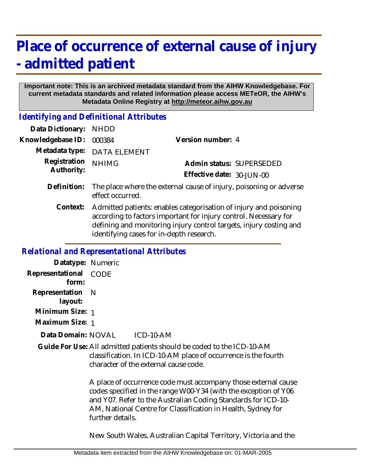# **Place of occurrence of external cause of injury - admitted patient**

#### **Important note: This is an archived metadata standard from the AIHW Knowledgebase. For current metadata standards and related information please access METeOR, the AIHW's Metadata Online Registry at http://meteor.aihw.gov.au**

*Identifying and Definitional Attributes*

| Data Dictionary:  | <b>NHDD</b>                                                                                                                                                                                                                                             |                           |                          |
|-------------------|---------------------------------------------------------------------------------------------------------------------------------------------------------------------------------------------------------------------------------------------------------|---------------------------|--------------------------|
| Knowledgebase ID: | 000384                                                                                                                                                                                                                                                  | Version number: 4         |                          |
| Metadata type:    | DATA ELEMENT                                                                                                                                                                                                                                            |                           |                          |
| Registration      | <b>NHIMG</b>                                                                                                                                                                                                                                            |                           | Admin status: SUPERSEDED |
| Authority:        |                                                                                                                                                                                                                                                         | Effective date: 30-JUN-00 |                          |
| Definition:       | The place where the external cause of injury, poisoning or adverse<br>effect occurred.                                                                                                                                                                  |                           |                          |
| Context:          | Admitted patients: enables categorisation of injury and poisoning<br>according to factors important for injury control. Necessary for<br>defining and monitoring injury control targets, injury costing and<br>identifying cases for in-depth research. |                           |                          |

#### *Relational and Representational Attributes*

**Datatype:** Numeric **Representational** CODE  **form: Representation** N  **layout: Minimum Size:** 1 **Maximum Size:** 1  $ICD-10-AM$ Guide For Use: All admitted patients should be coded to the ICD-10-AM classification. In ICD-10-AM place of occurrence is the fourth character of the external cause code. A place of occurrence code must accompany those external cause codes specified in the range W00-Y34 (with the exception of Y06 and Y07. Refer to the Australian Coding Standards for ICD-10- AM, National Centre for Classification in Health, Sydney for further details. **Data Domain:**

New South Wales, Australian Capital Territory, Victoria and the